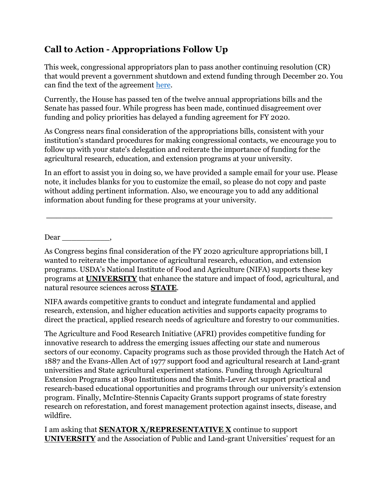## **Call to Action - Appropriations Follow Up**

This week, congressional appropriators plan to pass another continuing resolution (CR) that would prevent a government shutdown and extend funding through December 20. You can find the text of the agreement [here.](https://docs.house.gov/billsthisweek/20191118/BILLS-116HR3055SA-RCP116-38.pdf)

Currently, the House has passed ten of the twelve annual appropriations bills and the Senate has passed four. While progress has been made, continued disagreement over funding and policy priorities has delayed a funding agreement for FY 2020.

As Congress nears final consideration of the appropriations bills, consistent with your institution's standard procedures for making congressional contacts, we encourage you to follow up with your state's delegation and reiterate the importance of funding for the agricultural research, education, and extension programs at your university.

In an effort to assist you in doing so, we have provided a sample email for your use. Please note, it includes blanks for you to customize the email, so please do not copy and paste without adding pertinent information. Also, we encourage you to add any additional information about funding for these programs at your university.

**\_\_\_\_\_\_\_\_\_\_\_\_\_\_\_\_\_\_\_\_\_\_\_\_\_\_\_\_\_\_\_\_\_\_\_\_\_\_\_\_\_\_\_\_\_\_\_\_\_\_\_\_\_\_\_**

Dear \_\_\_\_\_\_\_\_\_\_,

As Congress begins final consideration of the FY 2020 agriculture appropriations bill, I wanted to reiterate the importance of agricultural research, education, and extension programs. USDA's National Institute of Food and Agriculture (NIFA) supports these key programs at **UNIVERSITY** that enhance the stature and impact of food, agricultural, and natural resource sciences across **STATE**.

NIFA awards competitive grants to conduct and integrate fundamental and applied research, extension, and higher education activities and supports capacity programs to direct the practical, applied research needs of agriculture and forestry to our communities.

The Agriculture and Food Research Initiative (AFRI) provides competitive funding for innovative research to address the emerging issues affecting our state and numerous sectors of our economy. Capacity programs such as those provided through the Hatch Act of 1887 and the Evans-Allen Act of 1977 support food and agricultural research at Land-grant universities and State agricultural experiment stations. Funding through Agricultural Extension Programs at 1890 Institutions and the Smith-Lever Act support practical and research-based educational opportunities and programs through our university's extension program. Finally, McIntire-Stennis Capacity Grants support programs of state forestry research on reforestation, and forest management protection against insects, disease, and wildfire.

I am asking that **SENATOR X/REPRESENTATIVE X** continue to support **UNIVERSITY** and the Association of Public and Land-grant Universities' request for an